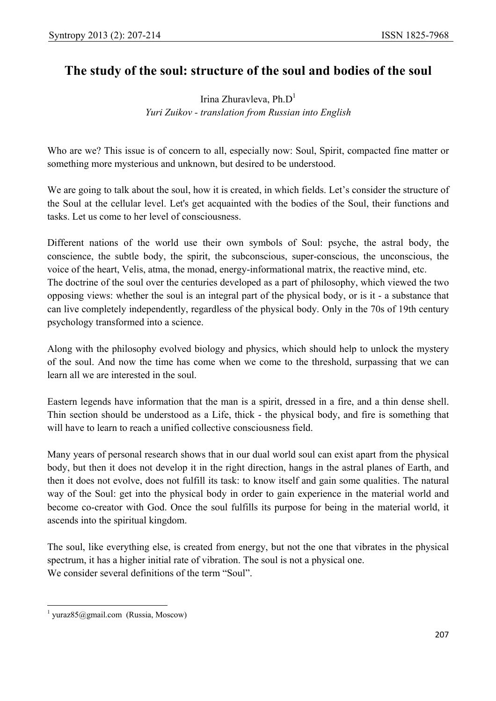## **The study of the soul: structure of the soul and bodies of the soul**

Irina Zhuravleva, Ph. $D<sup>1</sup>$ *Yuri Zuikov - translation from Russian into English* 

Who are we? This issue is of concern to all, especially now: Soul, Spirit, compacted fine matter or something more mysterious and unknown, but desired to be understood.

We are going to talk about the soul, how it is created, in which fields. Let's consider the structure of the Soul at the cellular level. Let's get acquainted with the bodies of the Soul, their functions and tasks. Let us come to her level of consciousness.

Different nations of the world use their own symbols of Soul: psyche, the astral body, the conscience, the subtle body, the spirit, the subconscious, super-conscious, the unconscious, the voice of the heart, Velis, atma, the monad, energy-informational matrix, the reactive mind, etc. The doctrine of the soul over the centuries developed as a part of philosophy, which viewed the two opposing views: whether the soul is an integral part of the physical body, or is it - a substance that can live completely independently, regardless of the physical body. Only in the 70s of 19th century psychology transformed into a science.

Along with the philosophy evolved biology and physics, which should help to unlock the mystery of the soul. And now the time has come when we come to the threshold, surpassing that we can learn all we are interested in the soul.

Eastern legends have information that the man is a spirit, dressed in a fire, and a thin dense shell. Thin section should be understood as a Life, thick - the physical body, and fire is something that will have to learn to reach a unified collective consciousness field.

Many years of personal research shows that in our dual world soul can exist apart from the physical body, but then it does not develop it in the right direction, hangs in the astral planes of Earth, and then it does not evolve, does not fulfill its task: to know itself and gain some qualities. The natural way of the Soul: get into the physical body in order to gain experience in the material world and become co-creator with God. Once the soul fulfills its purpose for being in the material world, it ascends into the spiritual kingdom.

The soul, like everything else, is created from energy, but not the one that vibrates in the physical spectrum, it has a higher initial rate of vibration. The soul is not a physical one. We consider several definitions of the term "Soul".

 $\overline{a}$  $<sup>1</sup> yuraz85@gmail.com (Russia, Moscow)$ </sup>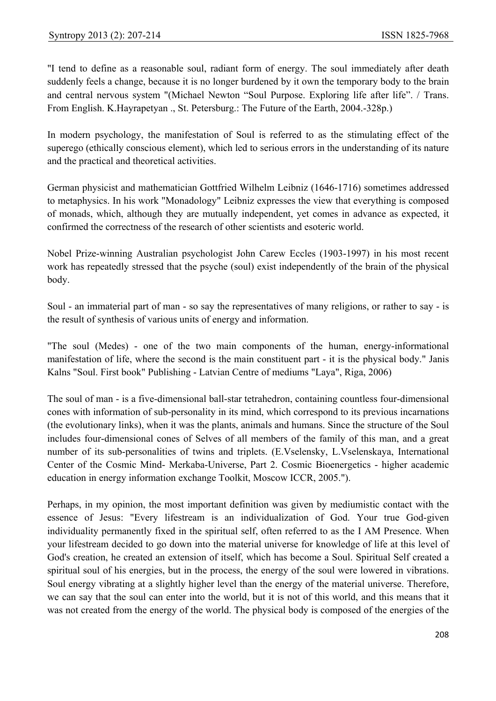"I tend to define as a reasonable soul, radiant form of energy. The soul immediately after death suddenly feels a change, because it is no longer burdened by it own the temporary body to the brain and central nervous system "(Michael Newton "Soul Purpose. Exploring life after life". / Trans. From English. K.Hayrapetyan ., St. Petersburg.: The Future of the Earth, 2004.-328p.)

In modern psychology, the manifestation of Soul is referred to as the stimulating effect of the superego (ethically conscious element), which led to serious errors in the understanding of its nature and the practical and theoretical activities.

German physicist and mathematician Gottfried Wilhelm Leibniz (1646-1716) sometimes addressed to metaphysics. In his work "Monadology" Leibniz expresses the view that everything is composed of monads, which, although they are mutually independent, yet comes in advance as expected, it confirmed the correctness of the research of other scientists and esoteric world.

Nobel Prize-winning Australian psychologist John Carew Eccles (1903-1997) in his most recent work has repeatedly stressed that the psyche (soul) exist independently of the brain of the physical body.

Soul - an immaterial part of man - so say the representatives of many religions, or rather to say - is the result of synthesis of various units of energy and information.

"The soul (Medes) - one of the two main components of the human, energy-informational manifestation of life, where the second is the main constituent part - it is the physical body." Janis Kalns "Soul. First book" Publishing - Latvian Centre of mediums "Laya", Riga, 2006)

The soul of man - is a five-dimensional ball-star tetrahedron, containing countless four-dimensional сones with information of sub-personality in its mind, which correspond to its previous incarnations (the evolutionary links), when it was the plants, animals and humans. Since the structure of the Soul includes four-dimensional cones of Selves of all members of the family of this man, and a great number of its sub-personalities of twins and triplets. (E.Vselensky, L.Vselenskaya, International Center of the Cosmic Mind- Merkaba-Universe, Part 2. Cosmic Bioenergetics - higher academic education in energy information exchange Toolkit, Moscow ICCR, 2005.").

Perhaps, in my opinion, the most important definition was given by mediumistic contact with the essence of Jesus: "Every lifestream is an individualization of God. Your true God-given individuality permanently fixed in the spiritual self, often referred to as the I AM Presence. When your lifestream decided to go down into the material universe for knowledge of life at this level of God's creation, he created an extension of itself, which has become a Soul. Spiritual Self created a spiritual soul of his energies, but in the process, the energy of the soul were lowered in vibrations. Soul energy vibrating at a slightly higher level than the energy of the material universe. Therefore, we can say that the soul can enter into the world, but it is not of this world, and this means that it was not created from the energy of the world. The physical body is composed of the energies of the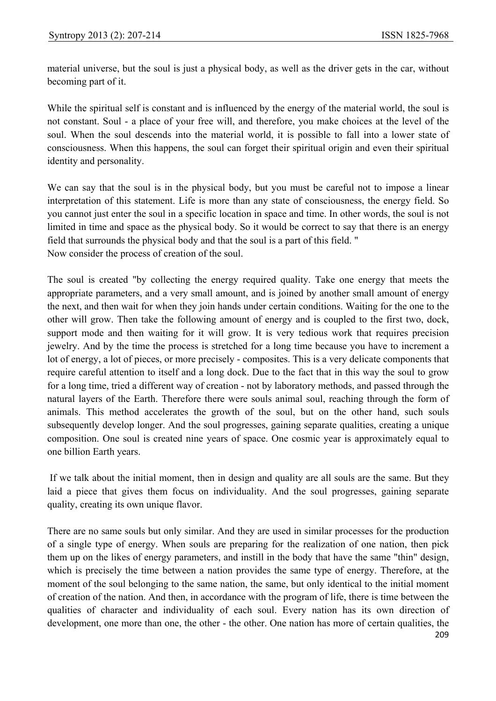material universe, but the soul is just a physical body, as well as the driver gets in the car, without becoming part of it.

While the spiritual self is constant and is influenced by the energy of the material world, the soul is not constant. Soul - a place of your free will, and therefore, you make choices at the level of the soul. When the soul descends into the material world, it is possible to fall into a lower state of consciousness. When this happens, the soul can forget their spiritual origin and even their spiritual identity and personality.

We can say that the soul is in the physical body, but you must be careful not to impose a linear interpretation of this statement. Life is more than any state of consciousness, the energy field. So you cannot just enter the soul in a specific location in space and time. In other words, the soul is not limited in time and space as the physical body. So it would be correct to say that there is an energy field that surrounds the physical body and that the soul is a part of this field. " Now consider the process of creation of the soul.

The soul is created "by collecting the energy required quality. Take one energy that meets the appropriate parameters, and a very small amount, and is joined by another small amount of energy the next, and then wait for when they join hands under certain conditions. Waiting for the one to the other will grow. Then take the following amount of energy and is coupled to the first two, dock, support mode and then waiting for it will grow. It is very tedious work that requires precision jewelry. And by the time the process is stretched for a long time because you have to increment a lot of energy, a lot of pieces, or more precisely - composites. This is a very delicate components that require careful attention to itself and a long dock. Due to the fact that in this way the soul to grow for a long time, tried a different way of creation - not by laboratory methods, and passed through the natural layers of the Earth. Therefore there were souls animal soul, reaching through the form of animals. This method accelerates the growth of the soul, but on the other hand, such souls subsequently develop longer. And the soul progresses, gaining separate qualities, creating a unique composition. One soul is created nine years of space. One cosmic year is approximately equal to one billion Earth years.

 If we talk about the initial moment, then in design and quality are all souls are the same. But they laid a piece that gives them focus on individuality. And the soul progresses, gaining separate quality, creating its own unique flavor.

There are no same souls but only similar. And they are used in similar processes for the production of a single type of energy. When souls are preparing for the realization of one nation, then pick them up on the likes of energy parameters, and instill in the body that have the same "thin" design, which is precisely the time between a nation provides the same type of energy. Therefore, at the moment of the soul belonging to the same nation, the same, but only identical to the initial moment of creation of the nation. And then, in accordance with the program of life, there is time between the qualities of character and individuality of each soul. Every nation has its own direction of development, one more than one, the other - the other. One nation has more of certain qualities, the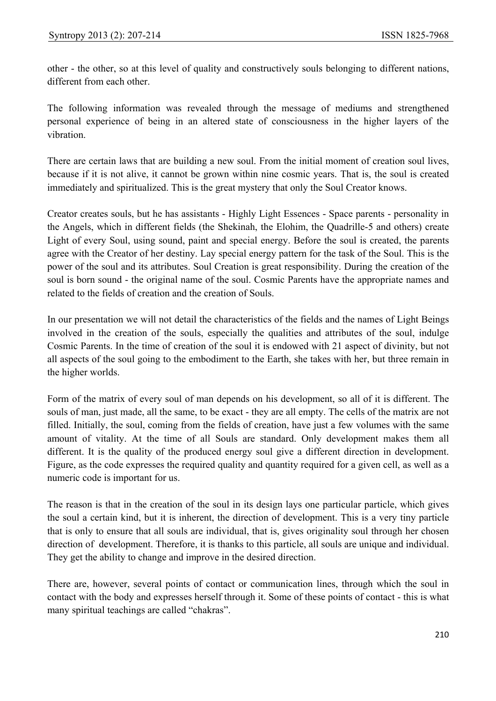other - the other, so at this level of quality and constructively souls belonging to different nations, different from each other.

The following information was revealed through the message of mediums and strengthened personal experience of being in an altered state of consciousness in the higher layers of the vibration.

There are certain laws that are building a new soul. From the initial moment of creation soul lives, because if it is not alive, it cannot be grown within nine cosmic years. That is, the soul is created immediately and spiritualized. This is the great mystery that only the Soul Creator knows.

Creator creates souls, but he has assistants - Highly Light Essences - Space parents - personality in the Angels, which in different fields (the Shekinah, the Elohim, the Quadrille-5 and others) create Light of every Soul, using sound, paint and special energy. Before the soul is created, the parents agree with the Creator of her destiny. Lay special energy pattern for the task of the Soul. This is the power of the soul and its attributes. Soul Creation is great responsibility. During the creation of the soul is born sound - the original name of the soul. Cosmic Parents have the appropriate names and related to the fields of creation and the creation of Souls.

In our presentation we will not detail the characteristics of the fields and the names of Light Beings involved in the creation of the souls, especially the qualities and attributes of the soul, indulge Cosmic Parents. In the time of creation of the soul it is endowed with 21 aspect of divinity, but not all aspects of the soul going to the embodiment to the Earth, she takes with her, but three remain in the higher worlds.

Form of the matrix of every soul of man depends on his development, so all of it is different. The souls of man, just made, all the same, to be exact - they are all empty. The cells of the matrix are not filled. Initially, the soul, coming from the fields of creation, have just a few volumes with the same amount of vitality. At the time of all Souls are standard. Only development makes them all different. It is the quality of the produced energy soul give a different direction in development. Figure, as the code expresses the required quality and quantity required for a given cell, as well as a numeric code is important for us.

The reason is that in the creation of the soul in its design lays one particular particle, which gives the soul a certain kind, but it is inherent, the direction of development. This is a very tiny particle that is only to ensure that all souls are individual, that is, gives originality soul through her chosen direction of development. Therefore, it is thanks to this particle, all souls are unique and individual. They get the ability to change and improve in the desired direction.

There are, however, several points of contact or communication lines, through which the soul in contact with the body and expresses herself through it. Some of these points of contact - this is what many spiritual teachings are called "chakras".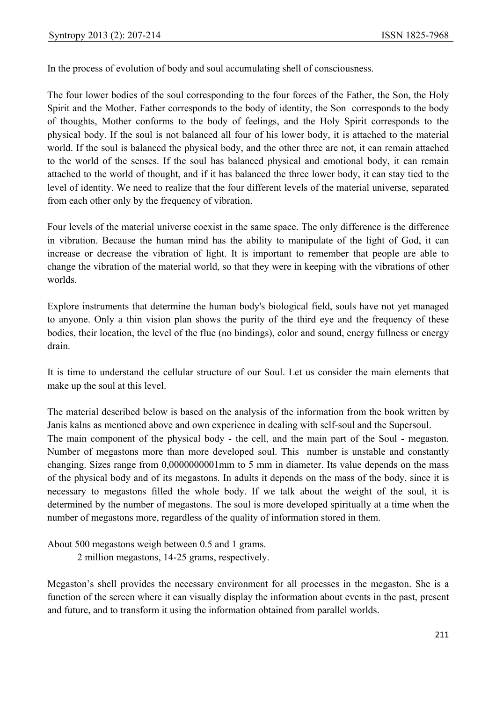In the process of evolution of body and soul accumulating shell of consciousness.

The four lower bodies of the soul corresponding to the four forces of the Father, the Son, the Holy Spirit and the Mother. Father corresponds to the body of identity, the Son corresponds to the body of thoughts, Mother conforms to the body of feelings, and the Holy Spirit corresponds to the physical body. If the soul is not balanced all four of his lower body, it is attached to the material world. If the soul is balanced the physical body, and the other three are not, it can remain attached to the world of the senses. If the soul has balanced physical and emotional body, it can remain attached to the world of thought, and if it has balanced the three lower body, it can stay tied to the level of identity. We need to realize that the four different levels of the material universe, separated from each other only by the frequency of vibration.

Four levels of the material universe coexist in the same space. The only difference is the difference in vibration. Because the human mind has the ability to manipulate of the light of God, it can increase or decrease the vibration of light. It is important to remember that people are able to change the vibration of the material world, so that they were in keeping with the vibrations of other worlds.

Explore instruments that determine the human body's biological field, souls have not yet managed to anyone. Only a thin vision plan shows the purity of the third eye and the frequency of these bodies, their location, the level of the flue (no bindings), color and sound, energy fullness or energy drain.

It is time to understand the cellular structure of our Soul. Let us consider the main elements that make up the soul at this level.

The material described below is based on the analysis of the information from the book written by Janis kalns as mentioned above and own experience in dealing with self-soul and the Supersoul. The main component of the physical body - the cell, and the main part of the Soul - megaston. Number of megastons more than more developed soul. This number is unstable and constantly changing. Sizes range from 0,0000000001mm to 5 mm in diameter. Its value depends on the mass of the physical body and of its megastons. In adults it depends on the mass of the body, since it is necessary to megastons filled the whole body. If we talk about the weight of the soul, it is determined by the number of megastons. The soul is more developed spiritually at a time when the number of megastons more, regardless of the quality of information stored in them.

About 500 megastons weigh between 0.5 and 1 grams.

2 million megastons, 14-25 grams, respectively.

Megaston's shell provides the necessary environment for all processes in the megaston. She is a function of the screen where it can visually display the information about events in the past, present and future, and to transform it using the information obtained from parallel worlds.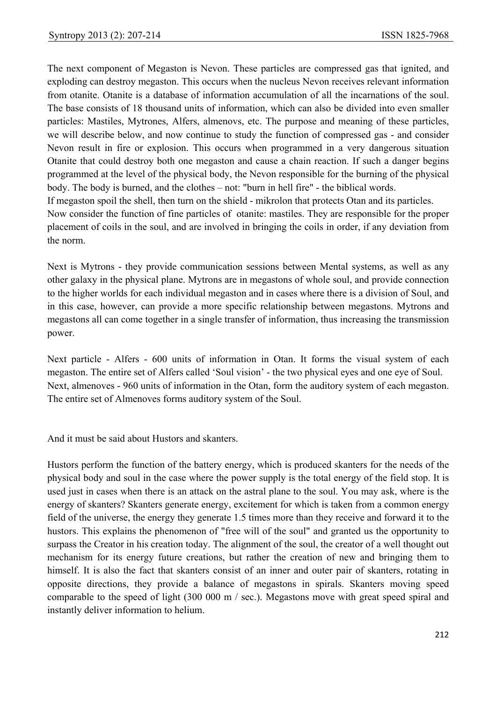The next component of Megaston is Nevon. These particles are compressed gas that ignited, and exploding can destroy megaston. This occurs when the nucleus Nevon receives relevant information from otanite. Otanite is a database of information accumulation of all the incarnations of the soul. The base consists of 18 thousand units of information, which can also be divided into even smaller particles: Mastiles, Mytrones, Alfers, almenovs, etc. The purpose and meaning of these particles, we will describe below, and now continue to study the function of compressed gas - and consider Nevon result in fire or explosion. This occurs when programmed in a very dangerous situation Otanite that could destroy both one megaston and cause a chain reaction. If such a danger begins programmed at the level of the physical body, the Nevon responsible for the burning of the physical body. The body is burned, and the clothes – not: "burn in hell fire" - the biblical words.

If megaston spoil the shell, then turn on the shield - mikrolon that protects Otan and its particles. Now consider the function of fine particles of otanite: mastiles. They are responsible for the proper placement of coils in the soul, and are involved in bringing the coils in order, if any deviation from the norm.

Next is Mytrons - they provide communication sessions between Mental systems, as well as any other galaxy in the physical plane. Mytrons are in megastons of whole soul, and provide connection to the higher worlds for each individual megaston and in cases where there is a division of Soul, and in this case, however, can provide a more specific relationship between megastons. Mytrons and megastons all can come together in a single transfer of information, thus increasing the transmission power.

Next particle - Alfers - 600 units of information in Otan. It forms the visual system of each megaston. The entire set of Alfers called 'Soul vision' - the two physical eyes and one eye of Soul. Next, almenoves - 960 units of information in the Otan, form the auditory system of each megaston. The entire set of Almenoves forms auditory system of the Soul.

And it must be said about Hustors and skanters.

Hustors perform the function of the battery energy, which is produced skanters for the needs of the physical body and soul in the case where the power supply is the total energy of the field stop. It is used just in cases when there is an attack on the astral plane to the soul. You may ask, where is the energy of skanters? Skanters generate energy, excitement for which is taken from a common energy field of the universe, the energy they generate 1.5 times more than they receive and forward it to the hustors. This explains the phenomenon of "free will of the soul" and granted us the opportunity to surpass the Creator in his creation today. The alignment of the soul, the creator of a well thought out mechanism for its energy future creations, but rather the creation of new and bringing them to himself. It is also the fact that skanters consist of an inner and outer pair of skanters, rotating in opposite directions, they provide a balance of megastons in spirals. Skanters moving speed comparable to the speed of light (300 000 m / sec.). Megastons move with great speed spiral and instantly deliver information to helium.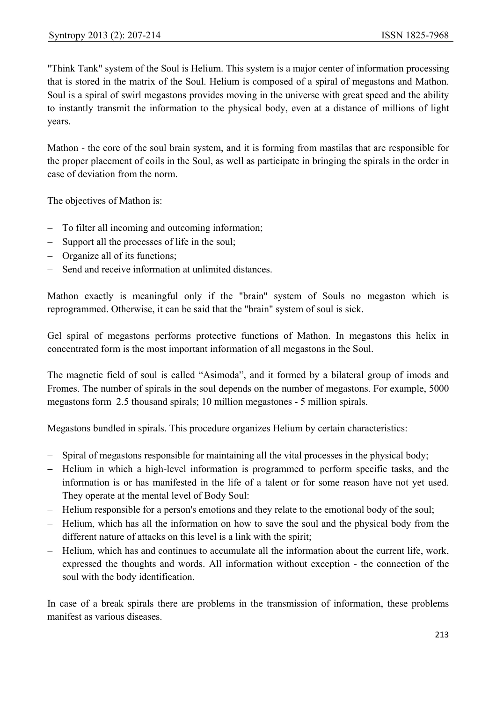"Think Tank" system of the Soul is Helium. This system is a major center of information processing that is stored in the matrix of the Soul. Helium is composed of a spiral of megastons and Mathon. Soul is a spiral of swirl megastons provides moving in the universe with great speed and the ability to instantly transmit the information to the physical body, even at a distance of millions of light years.

Mathon - the core of the soul brain system, and it is forming from mastilas that are responsible for the proper placement of coils in the Soul, as well as participate in bringing the spirals in the order in case of deviation from the norm.

The objectives of Mathon is:

- − To filter all incoming and outcoming information;
- − Support all the processes of life in the soul;
- − Organize all of its functions;
- − Send and receive information at unlimited distances.

Mathon exactly is meaningful only if the "brain" system of Souls no megaston which is reprogrammed. Otherwise, it can be said that the "brain" system of soul is sick.

Gel spiral of megastons performs protective functions of Mathon. In megastons this helix in concentrated form is the most important information of all megastons in the Soul.

The magnetic field of soul is called "Asimoda", and it formed by a bilateral group of imods and Fromes. The number of spirals in the soul depends on the number of megastons. For example, 5000 megastons form 2.5 thousand spirals; 10 million megastones - 5 million spirals.

Megastons bundled in spirals. This procedure organizes Helium by certain characteristics:

- − Spiral of megastons responsible for maintaining all the vital processes in the physical body;
- − Helium in which a high-level information is programmed to perform specific tasks, and the information is or has manifested in the life of a talent or for some reason have not yet used. They operate at the mental level of Body Soul:
- − Helium responsible for a person's emotions and they relate to the emotional body of the soul;
- − Helium, which has all the information on how to save the soul and the physical body from the different nature of attacks on this level is a link with the spirit;
- − Helium, which has and continues to accumulate all the information about the current life, work, expressed the thoughts and words. All information without exception - the connection of the soul with the body identification.

In case of a break spirals there are problems in the transmission of information, these problems manifest as various diseases.